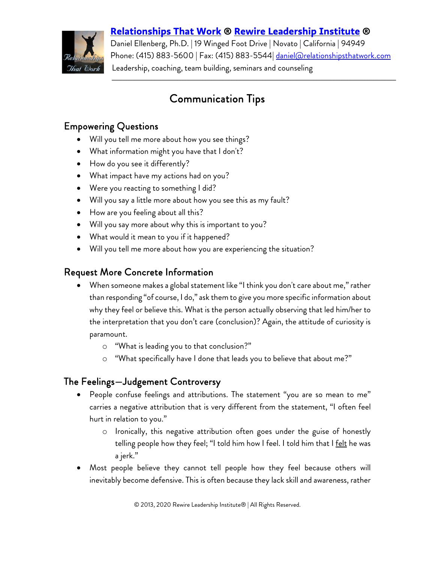#### **[Relationships That Work](http://www.relationshipsthatwork.com/) ® [Rewire Leadership Institute](http://www.rewireleadership.com/) ®**



Daniel Ellenberg, Ph.D. | 19 Winged Foot Drive | Novato | California | 94949 Phone: (415) 883-5600 | Fax: (415) 883-5544 <u>daniel@relationshipsthatwork.com</u> Leadership, coaching, team building, seminars and counseling

 $\mathcal{L}_\mathcal{L} = \{ \mathcal{L}_\mathcal{L} = \{ \mathcal{L}_\mathcal{L} = \{ \mathcal{L}_\mathcal{L} = \{ \mathcal{L}_\mathcal{L} = \{ \mathcal{L}_\mathcal{L} = \{ \mathcal{L}_\mathcal{L} = \{ \mathcal{L}_\mathcal{L} = \{ \mathcal{L}_\mathcal{L} = \{ \mathcal{L}_\mathcal{L} = \{ \mathcal{L}_\mathcal{L} = \{ \mathcal{L}_\mathcal{L} = \{ \mathcal{L}_\mathcal{L} = \{ \mathcal{L}_\mathcal{L} = \{ \mathcal{L}_\mathcal{$ 

# Communication Tips

## Empowering Questions

- Will you tell me more about how you see things?
- What information might you have that I don't?
- How do you see it differently?
- What impact have my actions had on you?
- Were you reacting to something I did?
- Will you say a little more about how you see this as my fault?
- How are you feeling about all this?
- Will you say more about why this is important to you?
- What would it mean to you if it happened?
- Will you tell me more about how you are experiencing the situation?

### Request More Concrete Information

- When someone makes a global statement like "I think you don't care about me," rather than responding "of course, I do," ask them to give you more specific information about why they feel or believe this. What is the person actually observing that led him/her to the interpretation that you don't care (conclusion)? Again, the attitude of curiosity is paramount.
	- o "What is leading you to that conclusion?"
	- o "What specifically have I done that leads you to believe that about me?"

## The Feelings—Judgement Controversy

- People confuse feelings and attributions. The statement "you are so mean to me" carries a negative attribution that is very different from the statement, "I often feel hurt in relation to you."
	- o Ironically, this negative attribution often goes under the guise of honestly telling people how they feel; "I told him how I feel. I told him that I felt he was a jerk."
- Most people believe they cannot tell people how they feel because others will inevitably become defensive. This is often because they lack skill and awareness, rather